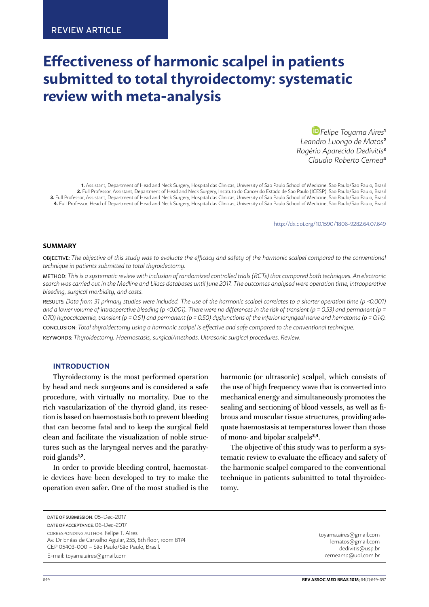# **Effectiveness of harmonic scalpel in patients submitted to total thyroidectomy: systematic review with meta-analysis**

*Felipe Toyama Aires***<sup>1</sup>** *Leandro Luongo de Matos***<sup>2</sup>** *Rogério Aparecido Dedivitis***<sup>3</sup>** *Claudio Roberto Cernea***<sup>4</sup>**

**1.** Assistant, Department of Head and Neck Surgery, Hospital das Clinicas, University of São Paulo School of Medicine, São Paulo/São Paulo, Brasil **2.** Full Professor, Assistant, Department of Head and Neck Surgery, Instituto do Cancer do Estado de Sao Paulo (ICESP), São Paulo/São Paulo, Brasil **3.** Full Professor, Assistant, Department of Head and Neck Surgery, Hospital das Clinicas, University of São Paulo School of Medicine, São Paulo/São Paulo, Brasil **4.** Full Professor, Head of Department of Head and Neck Surgery, Hospital das Clinicas, University of São Paulo School of Medicine, São Paulo/São Paulo, Brasil

http://dx.doi.org/10.1590/1806-9282.64.07.649

#### **SUMMARY**

OBJECTIVE: *The objective of this study was to evaluate the efficacy and safety of the harmonic scalpel compared to the conventional technique in patients submitted to total thyroidectomy.* 

METHOD: *This is a systematic review with inclusion of randomized controlled trials (RCTs) that compared both techniques. An electronic search was carried out in the Medline and Lilacs databases until June 2017. The outcomes analysed were operation time, intraoperative bleeding, surgical morbidity, and costs.* 

RESULTS: *Data from 31 primary studies were included. The use of the harmonic scalpel correlates to a shorter operation time (p <0.001)*  and a lower volume of intraoperative bleeding ( $p \le 0.001$ ). There were no differences in the risk of transient ( $p = 0.53$ ) and permanent ( $p = 0.53$ ) *0.70) hypocalcaemia, transient (p = 0.61) and permanent (p = 0.50) dysfunctions of the inferior laryngeal nerve and hematoma (p = 0.14).* CONCLUSION: *Total thyroidectomy using a harmonic scalpel is effective and safe compared to the conventional technique.* KEYWORDS: *Thyroidectomy. Haemostasis, surgical/methods. Ultrasonic surgical procedures. Review.* 

## **INTRODUCTION**

Thyroidectomy is the most performed operation by head and neck surgeons and is considered a safe procedure, with virtually no mortality. Due to the rich vascularization of the thyroid gland, its resection is based on haemostasis both to prevent bleeding that can become fatal and to keep the surgical field clean and facilitate the visualization of noble structures such as the laryngeal nerves and the parathyroid glands**1,2**.

In order to provide bleeding control, haemostatic devices have been developed to try to make the operation even safer. One of the most studied is the harmonic (or ultrasonic) scalpel, which consists of the use of high frequency wave that is converted into mechanical energy and simultaneously promotes the sealing and sectioning of blood vessels, as well as fibrous and muscular tissue structures, providing adequate haemostasis at temperatures lower than those of mono- and bipolar scalpels**3,4**.

The objective of this study was to perform a systematic review to evaluate the efficacy and safety of the harmonic scalpel compared to the conventional technique in patients submitted to total thyroidectomy.

DATE OF SUBMISSION: 05-Dec-2017 DATE OF ACCEPTANCE: 06-Dec-2017 CORRESPONDING AUTHOR: Felipe T. Aires Av. Dr Enéas de Carvalho Aguiar, 255, 8th floor, room 8174 CEP 05403-000 – São Paulo/São Paulo, Brasil. E-mail: [toyama.aires@gmail.com](mailto:toyama.aires@gmail.com)

[toyama.aires@gmail.com](mailto:toyama.aires@gmail.com) [lematos@gmail.com](mailto:lematos@gmail.com) [dedivitis@usp.br](mailto:dedivitis@usp.br) [cerneamd@uol.com.br](mailto:cerneamd@uol.com.br)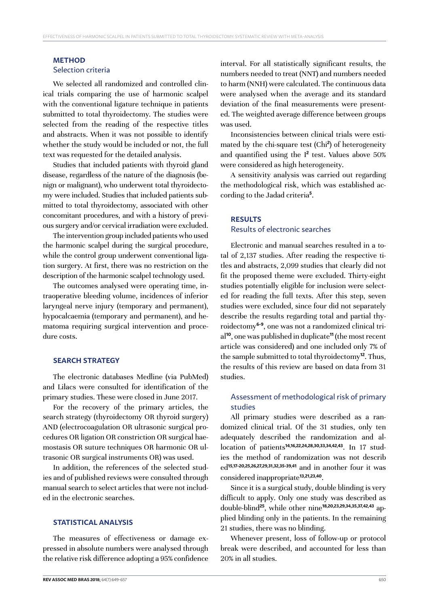## **METHOD** Selection criteria

We selected all randomized and controlled clinical trials comparing the use of harmonic scalpel with the conventional ligature technique in patients submitted to total thyroidectomy. The studies were selected from the reading of the respective titles and abstracts. When it was not possible to identify whether the study would be included or not, the full text was requested for the detailed analysis.

Studies that included patients with thyroid gland disease, regardless of the nature of the diagnosis (benign or malignant), who underwent total thyroidectomy were included. Studies that included patients submitted to total thyroidectomy, associated with other concomitant procedures, and with a history of previous surgery and/or cervical irradiation were excluded.

The intervention group included patients who used the harmonic scalpel during the surgical procedure, while the control group underwent conventional ligation surgery. At first, there was no restriction on the description of the harmonic scalpel technology used.

The outcomes analysed were operating time, intraoperative bleeding volume, incidences of inferior laryngeal nerve injury (temporary and permanent), hypocalcaemia (temporary and permanent), and hematoma requiring surgical intervention and procedure costs.

## **SEARCH STRATEGY**

The electronic databases Medline (via PubMed) and Lilacs were consulted for identification of the primary studies. These were closed in June 2017.

For the recovery of the primary articles, the search strategy (thyroidectomy OR thyroid surgery) AND (electrocoagulation OR ultrasonic surgical procedures OR ligation OR constriction OR surgical haemostasis OR suture techniques OR harmonic OR ultrasonic OR surgical instruments OR) was used.

In addition, the references of the selected studies and of published reviews were consulted through manual search to select articles that were not included in the electronic searches.

### **STATISTICAL ANALYSIS**

The measures of effectiveness or damage expressed in absolute numbers were analysed through the relative risk difference adopting a 95% confidence interval. For all statistically significant results, the numbers needed to treat (NNT) and numbers needed to harm (NNH) were calculated. The continuous data were analysed when the average and its standard deviation of the final measurements were presented. The weighted average difference between groups was used.

Inconsistencies between clinical trials were estimated by the chi-square test (Chi**<sup>2</sup>** ) of heterogeneity and quantified using the I<sup>2</sup> test. Values above 50% were considered as high heterogeneity.

A sensitivity analysis was carried out regarding the methodological risk, which was established according to the Jadad criteria**<sup>5</sup>** .

## **RESULTS**

# Results of electronic searches

Electronic and manual searches resulted in a total of 2,137 studies. After reading the respective titles and abstracts, 2,099 studies that clearly did not fit the proposed theme were excluded. Thirty-eight studies potentially eligible for inclusion were selected for reading the full texts. After this step, seven studies were excluded, since four did not separately describe the results regarding total and partial thyroidectomy**6-9**, one was not a randomized clinical trial**<sup>10</sup>**, one was published in duplicate**<sup>11</sup>** (the most recent article was considered) and one included only 7% of the sample submitted to total thyroidectomy**<sup>12</sup>**. Thus, the results of this review are based on data from 31 studies.

# Assessment of methodological risk of primary studies

All primary studies were described as a randomized clinical trial. Of the 31 studies, only ten adequately described the randomization and allocation of patients**14,16,22,24,28,30,33,34,42,43**. In 17 studies the method of randomization was not describ ed**15,17-20,25,26,27,29,31,32,35-39,41** and in another four it was considered inappropriate**13,21,23,40**.

Since it is a surgical study, double blinding is very difficult to apply. Only one study was described as double-blind**25**, while other nine**18,20,23,29,34,35,37,42,43** applied blinding only in the patients. In the remaining 21 studies, there was no blinding.

Whenever present, loss of follow-up or protocol break were described, and accounted for less than 20% in all studies.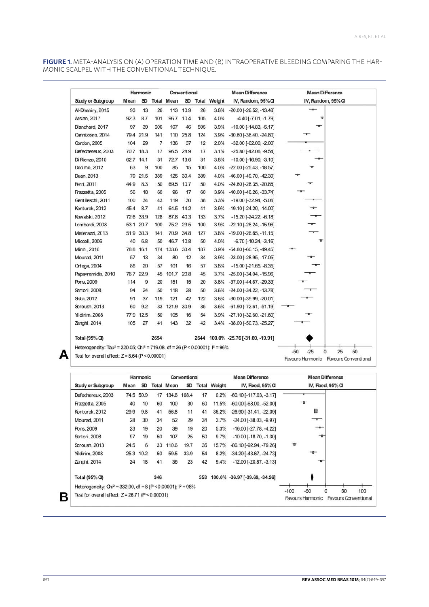**FIGURE 1.** META-ANALYSIS ON (A) OPERATION TIME AND (B) INTRAOPERATIVE BLEEDING COMPARING THE HAR-MONIC SCALPEL WITH THE CONVENTIONAL TECHNIQUE.

|                                                                                                                  |      | Harmonic  |                |               | Conventional |     |                 | <b>Mean Difference</b>              | <b>Mean Difference</b>                                                              |  |  |
|------------------------------------------------------------------------------------------------------------------|------|-----------|----------------|---------------|--------------|-----|-----------------|-------------------------------------|-------------------------------------------------------------------------------------|--|--|
| Study or Subgroup                                                                                                | Mean |           |                | SD Total Mean |              |     | SD Total Weight | IV, Random, 95% CI                  | IV, Random, 95% CI                                                                  |  |  |
| Al-Dhahiry, 2015                                                                                                 | 93   | 13        | 26             |               | 113 10.9     | 26  | 3.8%            | $-20.00$ [ $-26.52$ , $-13.48$ ]    |                                                                                     |  |  |
| Arslan, 2017                                                                                                     | 92.3 | 8.7       | 101            | 96.7          | 10.4         | 105 | 4.0%            | $-4.40$ [ $-7.01$ , $-1.79$ ]       |                                                                                     |  |  |
| Blanchard, 2017                                                                                                  | 97   | 39        | 606            | 107           | 46           | 595 | 3.9%            | $-10.00$ [ $-14.83$ , $-5.17$ ]     |                                                                                     |  |  |
| Cannizzaro, 2014                                                                                                 |      | 79.4 21.9 | 141            | 110           | 25.8         | 124 | 3.9%            | $-30.60$ $[-36.40, -24.80]$         |                                                                                     |  |  |
| Cordon, 2005                                                                                                     | 104  | 29        | $\overline{7}$ | 136           | 37           | 12  | 2.0%            | $-32.00$ [ $-62.00$ , $-2.00$ ]     |                                                                                     |  |  |
| Defechereux, 2003                                                                                                |      | 70.7 18.3 | 17             | 96.5          | 28.9         | 17  | 3.1%            | $-25.80$ [ $-42.06$ , $-9.54$ ]     |                                                                                     |  |  |
| Di Renzo, 2010                                                                                                   | 62.7 | 14.1      | 31             | 72.7          | 13.6         | 31  | 3.8%            | $-10.00$ [ $-16.90, -3.10$ ]        |                                                                                     |  |  |
| Docimo, 2012                                                                                                     | 63   | 9         | 100            | 85            | 15           | 100 | 4.0%            | $-22.00$ $[-25.43, -18.57]$         |                                                                                     |  |  |
| Duan, 2013                                                                                                       | 79   | 21.5      | 389            | 125           | 30.4         | 389 | 4.0%            | -46.00 [-49.70, -42.30]             |                                                                                     |  |  |
| Ferri, 2011                                                                                                      | 44.9 | 8.3       | 50             | 69.5          | 10.7         | 50  | 4.0%            | $-24.60$ $[-28.35, -20.85]$         |                                                                                     |  |  |
| Frazzetta, 2005                                                                                                  | 56   | 18        | 60             | 96            | 17           | 60  | 3.9%            | $-40.00$ [ $-46.26$ , $-33.74$ ]    |                                                                                     |  |  |
| Gentileschi, 2011                                                                                                | 100  | 34        | 43             | 119           | 30           | 38  | 3.3%            | $-19.00$ $[-32.94, -5.06]$          |                                                                                     |  |  |
| Konturek, 2012                                                                                                   | 45.4 | 8.7       | 41             | 64.5          | 14.2         | 41  | 3.9%            | $-19.10$ [ $-24.20$ , $-14.00$ ]    |                                                                                     |  |  |
| Kowalski, 2012                                                                                                   | 72.6 | 33.9      | 128            | 87.8          | 40.3         | 133 | 3.7%            | $-15.20$ [ $-24.22$ , $-6.18$ ]     |                                                                                     |  |  |
| Lombardi, 2008                                                                                                   | 53.1 | 20.7      | 100            | 75.2          | 23.5         | 100 | 3.9%            | $-22.10$ [ $-28.24$ , $-15.96$ ]    |                                                                                     |  |  |
| Materazzi, 2013                                                                                                  |      | 51.9 30.3 | 141            | 70.9          | 34.8         | 127 | 3.8%            | $-19.00$ $[-26.85, -11.15]$         |                                                                                     |  |  |
| Miccoli, 2006                                                                                                    | 40   | 6.8       | 50             | 46.7          | 10.8         | 50  | 4.0%            | $-6.70$ [ $-10.24$ , $-3.16$ ]      |                                                                                     |  |  |
| Minni, 2016                                                                                                      | 78.8 | 16.1      |                | 174 133.6     | 33.4         | 187 | 3.9%            | $-54.80[-60.15, -49.45]$            |                                                                                     |  |  |
| Mourad, 2011                                                                                                     | 57   | 13        | 34             | 80            | 12           | 34  | 3.9%            | $-23.00$ [ $-28.95$ , $-17.05$ ]    |                                                                                     |  |  |
| Ortega, 2004                                                                                                     | 86   | 20        | 57             | 101           | 16           | 57  | 3.8%            | $-15.00$ $[-21.65, -8.35]$          |                                                                                     |  |  |
| Papavramidis, 2010                                                                                               | 76.7 | 22.9      | 45             | 101.7         | 20.8         | 45  | 3.7%            | $-25.00$ [ $-34.04$ , $-15.96$ ]    |                                                                                     |  |  |
| Pons, 2009                                                                                                       | 114  | 9         | 20             | 151           | 15           | 20  |                 | 3.8% -37.00 [-44.67, -29.33]        |                                                                                     |  |  |
| Sartori, 2008                                                                                                    | 94   | 24        | 50             | 118           | 28           | 50  | 3.6%            | $-24.00$ [ $-34.22$ , $-13.78$ ]    |                                                                                     |  |  |
| Ssta, 2012                                                                                                       | 91   | 37        | 119            | 121           | 42           | 122 | 3.6%            | $-30.00$ $[-39.99, -20.01]$         |                                                                                     |  |  |
| Soroush, 2013                                                                                                    | 60   | 9.2       | 33             | 121.9         | 30.9         | 35  |                 | 3.6% -61.90 [-72.61, -51.19]        |                                                                                     |  |  |
| Yildirim, 2008                                                                                                   | 77.9 | 12.5      | 50             | 105           | 16           | 54  | 3.9%            | $-27.10$ [ $-32.60$ , $-21.60$ ]    |                                                                                     |  |  |
| Zanghi, 2014                                                                                                     | 105  | 27        | 41             | 143           | 32           | 42  |                 | 3.4% -38.00 [-50.73, -25.27]        |                                                                                     |  |  |
| Total (95% CI)                                                                                                   |      |           | 2654           |               |              |     |                 | 2644 100.0% -25.76 [-31.60, -19.91] |                                                                                     |  |  |
| Heterogeneity: Tau <sup>2</sup> = 220.05; Chi <sup>2</sup> = 719.08, df = 26 (P < 0.00001); l <sup>2</sup> = 96% |      |           |                |               |              |     |                 |                                     |                                                                                     |  |  |
| Test for overall effect: $Z = 8.64$ (P<0.00001)                                                                  |      |           |                |               |              |     |                 |                                     | 25<br>50<br>$-50$<br>$-25$<br>$\mathbf{0}$<br>Favours Harmonic Favours Conventional |  |  |

|                                                                              |      | Harmonic  |     |                   | Conventional |     |                     | <b>Mean Difference</b>           |        |                           | <b>Mean Difference</b> |                                   |     |
|------------------------------------------------------------------------------|------|-----------|-----|-------------------|--------------|-----|---------------------|----------------------------------|--------|---------------------------|------------------------|-----------------------------------|-----|
| Study or Subgroup                                                            | Mean | ရာ        |     | <b>Total Mean</b> | SD           |     | <b>Total Weight</b> | IV, Fixed, 95% C                 |        |                           | IV, Fixed, 95% C       |                                   |     |
| Defechereux, 2003                                                            |      | 74.5 50.9 | 17  | 134.6             | 108.4        | 17  | 0.2%                | $-60.10$ [ $-117.03$ , $-3.17$ ] |        |                           |                        |                                   |     |
| Frazzetta, 2005                                                              | 40   | 10        | 60  | 100               | 30           | 60  | 11.5%               | $-60.00$ [ $-68.00$ . $-52.00$ ] |        | ÷                         |                        |                                   |     |
| Konturek, 2012                                                               | 29.9 | 9.8       | 41  | 56.8              | 11           | 41  | 36.2%               | $-26.90$ [ $-31.41$ , $-22.39$ ] |        | 目                         |                        |                                   |     |
| Mourad, 2011                                                                 | 28   | 30        | 34  | 52                | 29           | 34  | 3.7%                | $-24.00$ [ $-38.03$ , $-9.97$ ]  |        | $-1$                      |                        |                                   |     |
| Pons, 2009                                                                   | 23   | 19        | 20  | 39                | 19           | 20  | 5.3%                | $-16.00$ [ $-27.78$ , $-4.22$ ]  |        |                           | $-0-$                  |                                   |     |
| Sartori, 2008                                                                | 97   | 19        | 50  | 107               | 25           | 50  | 9.7%                | $-10.00$ [ $-18.70$ , $-1.30$ ]  |        |                           | ╼                      |                                   |     |
| Soroush, 2013                                                                | 24.5 | 6         | 33  | 110.6             | 19.7         | 35  | 15.7%               | $-86.10$ [ $-92.94$ , $-79.26$ ] | $-0$   |                           |                        |                                   |     |
| Yildirim, 2008                                                               | 25.3 | 10.2      | 50  | 59.5              | 33.9         | 54  | 8.2%                | $-34.20$ [ $-43.67$ , $-24.73$ ] |        | $-\mathbf{r}$             |                        |                                   |     |
| Zanghi, 2014                                                                 | 24   | 18        | 41  | 36                | 23           | 42  | 9.4%                | $-12.00$ [ $-20.87, -3.13$ ]     |        |                           |                        |                                   |     |
| Total (95% CI)                                                               |      |           | 346 |                   |              | 353 |                     | 100.0% -36.97 [-39.69, -34.26]   |        |                           |                        |                                   |     |
| Heterogeneity: Chi <sup>2</sup> = 332.90, df = 8 (P < 0.00001); $I^2 = 98\%$ |      |           |     |                   |              |     |                     |                                  |        |                           |                        |                                   |     |
| Test for overall effect: $Z = 26.71$ (P < 0.00001)                           |      |           |     |                   |              |     |                     |                                  | $-100$ | $-50$<br>Favours Harmonic |                        | 50<br><b>Favours Conventional</b> | 100 |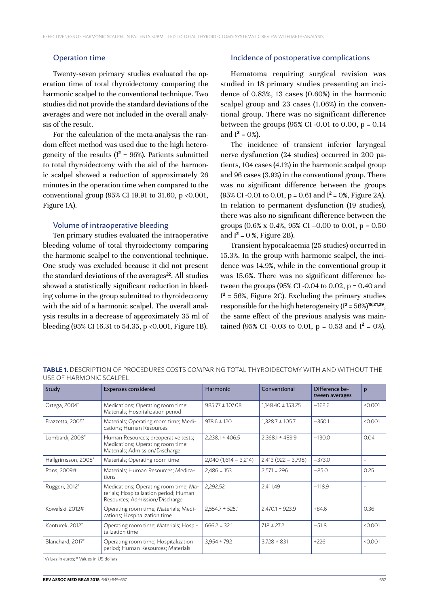## Operation time

Twenty-seven primary studies evaluated the operation time of total thyroidectomy comparing the harmonic scalpel to the conventional technique. Two studies did not provide the standard deviations of the averages and were not included in the overall analysis of the result.

For the calculation of the meta-analysis the random effect method was used due to the high heterogeneity of the results  $(I^2 = 96%)$ . Patients submitted to total thyroidectomy with the aid of the harmonic scalpel showed a reduction of approximately 26 minutes in the operation time when compared to the conventional group (95% CI 19.91 to 31.60, p <0.001, Figure 1A).

## Volume of intraoperative bleeding

Ten primary studies evaluated the intraoperative bleeding volume of total thyroidectomy comparing the harmonic scalpel to the conventional technique. One study was excluded because it did not present the standard deviations of the averages<sup>22</sup>. All studies showed a statistically significant reduction in bleeding volume in the group submitted to thyroidectomy with the aid of a harmonic scalpel. The overall analysis results in a decrease of approximately 35 ml of bleeding (95% CI 16.31 to 54.35, p <0.001, Figure 1B).

## Incidence of postoperative complications

Hematoma requiring surgical revision was studied in 18 primary studies presenting an incidence of 0.83%, 13 cases (0.60%) in the harmonic scalpel group and 23 cases (1.06%) in the conventional group. There was no significant difference between the groups (95% CI -0.01 to 0.00,  $p = 0.14$ and  $I^2 = 0\%$ ).

The incidence of transient inferior laryngeal nerve dysfunction (24 studies) occurred in 200 patients, 104 cases (4.1%) in the harmonic scalpel group and 96 cases (3.9%) in the conventional group. There was no significant difference between the groups  $(95\% \text{ CI} - 0.01 \text{ to } 0.01, p = 0.61 \text{ and } I^2 = 0\%, \text{ Figure 2A}).$ In relation to permanent dysfunction (19 studies), there was also no significant difference between the groups  $(0.6\% \times 0.4\%, 95\% \text{ CI} -0.00 \text{ to } 0.01, p = 0.50)$ and  $I^2 = 0$  %, Figure 2B).

Transient hypocalcaemia (25 studies) occurred in 15.3%. In the group with harmonic scalpel, the incidence was 14.9%, while in the conventional group it was 15.6%. There was no significant difference between the groups (95% CI -0.04 to 0.02,  $p = 0.40$  and  $I^2$  = 56%, Figure 2C). Excluding the primary studies responsible for the high heterogeneity (I**<sup>2</sup>** = 56%)**18,21,29**, the same effect of the previous analysis was maintained (95% CI -0.03 to 0.01,  $p = 0.53$  and  $I^2 = 0$ %).

**TABLE 1.** DESCRIPTION OF PROCEDURES COSTS COMPARING TOTAL THYROIDECTOMY WITH AND WITHOUT THE USE OF HARMONIC SCALPEL

| Study               | Expenses considered                                                                                               | Harmonic                | Conventional          | Difference be-<br>tween averages | p                        |
|---------------------|-------------------------------------------------------------------------------------------------------------------|-------------------------|-----------------------|----------------------------------|--------------------------|
| Ortega, 2004*       | Medications; Operating room time;<br>Materials; Hospitalization period                                            | $985.77 \pm 107.08$     | $1,148.40 \pm 153.25$ | $-162.6$                         | < 0.001                  |
| Frazzetta, 2005*    | Materials; Operating room time; Medi-<br>cations; Human Resources                                                 | $978.6 \pm 120$         | $1,328.7 \pm 105.7$   | $-350.1$                         | < 0.001                  |
| Lombardi, 2008*     | Human Resources; preoperative tests;<br>Medications; Operating room time;<br>Materials; Admission/Discharge       | $2.238.1 \pm 406.5$     | $2,368.1 \pm 489.9$   | $-130.0$                         | 0.04                     |
| Hallgrimsson, 2008* | Materials; Operating room time                                                                                    | $2,040$ (1,614 - 3,214) | $2,413$ (922 - 3,798) | $-373.0$                         | $\overline{\phantom{a}}$ |
| Pons, 2009#         | Materials; Human Resources; Medica-<br>tions                                                                      | $2,486 \pm 153$         | $2,571 \pm 296$       | $-85.0$                          | 0.25                     |
| Ruggeri, 2012*      | Medications; Operating room time; Ma-<br>terials; Hospitalization period; Human<br>Resources; Admission/Discharge | 2,292.52                | 2,411.49              | $-118.9$                         | ٠                        |
| Kowalski, 2012#     | Operating room time; Materials; Medi-<br>cations; Hospitalization time                                            | $2,554.7 \pm 525.1$     | $2,470.1 \pm 923.9$   | $+84.6$                          | 0.36                     |
| Konturek, 2012*     | Operating room time; Materials; Hospi-<br>talization time                                                         | $666.2 \pm 32.1$        | $718 \pm 27.2$        | $-51.8$                          | < 0.001                  |
| Blanchard, 2017*    | Operating room time; Hospitalization<br>period; Human Resources; Materials                                        | $3,954 \pm 792$         | $3,728 \pm 831$       | $+226$                           | < 0.001                  |

\* Values in euros; # Values in US dollars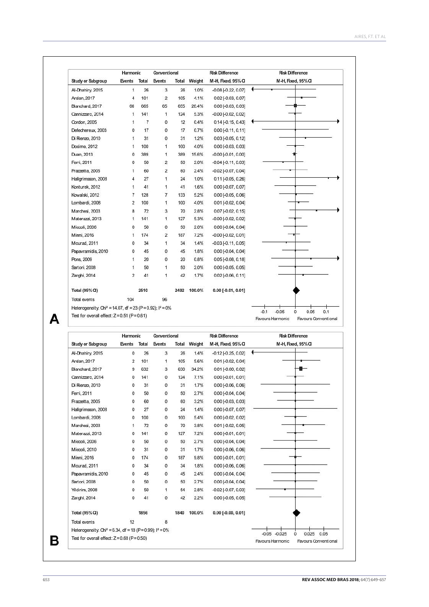|                                                                                | Harmonic       |                | Conventional   |              |        | <b>Risk Difference</b>        | <b>Risk Difference</b>                                                            |
|--------------------------------------------------------------------------------|----------------|----------------|----------------|--------------|--------|-------------------------------|-----------------------------------------------------------------------------------|
| Study or Subgroup                                                              | Events         | Total          | Events         | Total        | Weight | M-H, Fixed, 95% CI            | M-H, Fixed, 95% Q                                                                 |
| Al-Dhahiry, 2015                                                               | 1              | 26             | 3              | 26           | 1.0%   | $-0.08$ [ $-0.22$ , 0.07]     |                                                                                   |
| Arslan, 2017                                                                   | 4              | 101            | $\overline{2}$ | 105          | 4.1%   | $0.02$ [-0.03, 0.07]          |                                                                                   |
| Blanchard, 2017                                                                | 66             | 665            | 65             | 655          | 26.4%  | $0.00$ [ $-0.03$ , $0.03$ ]   |                                                                                   |
| Cannizzaro, 2014                                                               | 1              | 141            | 1              | 124          | 5.3%   | $-0.00$ $[-0.02, 0.02]$       |                                                                                   |
| Cordon, 2005                                                                   | 1              | $\overline{7}$ | 0              | 12           | 0.4%   | $0.14$ [-0.15, 0.43]          |                                                                                   |
| Defechereux, 2003                                                              | 0              | 17             | 0              | 17           | 0.7%   | $0.00$ [-0.11, 0.11]          |                                                                                   |
| Di Renzo, 2010                                                                 | 1              | 31             | 0              | 31           | 1.2%   | $0.03$ [-0.05, 0.12]          |                                                                                   |
| Docimo, 2012                                                                   | 1              | 100            | 1              | 100          | 4.0%   | $0.00$ [-0.03, 0.03]          |                                                                                   |
| Duan, 2013                                                                     | $\overline{0}$ | 389            | 1              | 389          | 15.6%  | $-0.00$ [ $-0.01$ , $0.00$ ]  |                                                                                   |
| Ferri, 2011                                                                    | 0              | 50             | $\overline{2}$ | 50           | 2.0%   | $-0.04[-0.11, 0.03]$          |                                                                                   |
| Frazzetta, 2005                                                                | 1              | 60             | $\overline{2}$ | 60           | 2.4%   | $-0.02$ [ $-0.07, 0.04$ ]     |                                                                                   |
| Hallgrimsson, 2008                                                             | 4              | 27             | 1              | 24           | 1.0%   | $0.11$ [-0.05, 0.26]          |                                                                                   |
| Konturek, 2012                                                                 | 1              | 41             | $\mathbf{1}$   | 41           | 1.6%   | $0.00$ [-0.07, 0.07]          |                                                                                   |
| Kowalski, 2012                                                                 | $\overline{7}$ | 128            | 7              | 133          | 5.2%   | $0.00$ [-0.05, 0.06]          |                                                                                   |
| Lombardi, 2008                                                                 | $\overline{2}$ | 100            | $\mathbf{1}$   | 100          | 4.0%   | $0.01$ [-0.02, 0.04]          |                                                                                   |
| Marchesi, 2003                                                                 | 8              | 72             | 3              | 70           | 2.8%   | $0.07$ [-0.02, 0.15]          |                                                                                   |
| Materazzi, 2013                                                                | 1              | 141            | 1              | 127          | 5.3%   | $-0.00$ [ $-0.02$ , $0.02$ ]  |                                                                                   |
| Miccoli, 2006                                                                  | $\Omega$       | 50             | 0              | 50           | 2.0%   | $0.00$ [-0.04, 0.04]          |                                                                                   |
| Minni, 2016                                                                    | $\mathbf{1}$   | 174            | $\overline{2}$ | 187          | 7.2%   | $-0.00$ [ $-0.02$ , 0.01]     |                                                                                   |
| Mourad, 2011                                                                   | 0              | 34             | 1              | 34           | 1.4%   | $-0.03$ [ $-0.11$ , $0.05$ ]  |                                                                                   |
| Papavramidis, 2010                                                             | 0              | 45             | 0              | 45           | 1.8%   | $0.00$ [-0.04, 0.04]          |                                                                                   |
| Pons, 2009                                                                     | 1              | 20             | 0              | 20           | 0.8%   | $0.05$ [-0.08, 0.18]          |                                                                                   |
| Sartori, 2008                                                                  | 1              | 50             | 1              | 50           | 2.0%   | $0.00$ [-0.05, 0.05]          |                                                                                   |
| Zanghi, 2014                                                                   | $\overline{2}$ | 41             | 1              | 42           | 1.7%   | $0.02$ [-0.06, 0.11]          |                                                                                   |
| Total (95% CI)                                                                 |                | 2510           |                | 2492         | 100.0% | $0.00$ [-0.01, 0.01]          |                                                                                   |
| Total events                                                                   | 104            |                | 96             |              |        |                               |                                                                                   |
| Heterogeneity: Chi <sup>2</sup> = 14.07, df = 23 (P=0.92); l <sup>2</sup> = 0% |                |                |                |              |        |                               |                                                                                   |
| Test for overall effect: $Z = 0.51$ (P=0.61)                                   |                |                |                |              |        |                               | 0.05<br>0.1<br>$-0.1$<br>$-0.05$<br>0<br>Favours Harmonic<br>Favours Conventional |
|                                                                                | Harmonic       |                | Conventional   |              |        | <b>Risk Difference</b>        | <b>Risk Difference</b>                                                            |
| Study or Subgroup                                                              | Events         | Total          | Events         | <b>Total</b> | Weight | M-H, Fixed, 95% CI            | M-H, Fixed, 95% C                                                                 |
| Al-Dhahiry 2015                                                                | $\Omega$       | 26             | 3              | 26           | 14%    | $-0.12$ [ $-0.25$ , $0.021$ ] |                                                                                   |

| Study or Subgroup                                                    | Events      | Total | Events       | <b>Total</b> | Weight | M-H, Fixed, 95% CI        | M-H, Fixed, 95% C                        |
|----------------------------------------------------------------------|-------------|-------|--------------|--------------|--------|---------------------------|------------------------------------------|
| Al-Dhahiry, 2015                                                     | $\circ$     | 26    | $\mathbf{3}$ | 26           | 1.4%   | $-0.12$ [ $-0.25, 0.02$ ] |                                          |
| Arslan, 2017                                                         | 2           | 101   | 1            | 105          | 5.6%   | $0.01$ [-0.02, 0.04]      |                                          |
| Blanchard, 2017                                                      | 9           | 632   | 3            | 630          | 34.2%  | $0.01$ [-0.00, 0.02]      |                                          |
| Cannizzaro, 2014                                                     | 0           | 141   | 0            | 124          | 7.1%   | $0.00$ [-0.01, 0.01]      |                                          |
| Di Renzo, 2010                                                       | 0           | 31    | 0            | 31           | 1.7%   | $0.00$ [-0.06, 0.06]      |                                          |
| Ferri, 2011                                                          | 0           | 50    | 0            | 50           | 2.7%   | $0.00$ [-0.04, 0.04]      |                                          |
| Frazzetta, 2005                                                      | 0           | 60    | 0            | 60           | 3.2%   | $0.00$ [-0.03, 0.03]      |                                          |
| Hallgrimsson, 2008                                                   | 0           | 27    | 0            | 24           | 1.4%   | $0.00$ [-0.07, 0.07]      |                                          |
| Lombardi, 2008                                                       | $\mathbf 0$ | 100   | 0            | 100          | 5.4%   | $0.00$ [-0.02, 0.02]      |                                          |
| Marchesi, 2003                                                       | 1           | 72    | 0            | 70           | 3.8%   | $0.01$ [-0.02, 0.05]      |                                          |
| Materazzi, 2013                                                      | $\Omega$    | 141   | $\mathbf 0$  | 127          | 7.2%   | $0.00$ [-0.01, 0.01]      |                                          |
| Miccoli, 2006                                                        | 0           | 50    | 0            | 50           | 2.7%   | $0.00$ [-0.04, 0.04]      |                                          |
| Miccoli, 2010                                                        | 0           | 31    | 0            | 31           | 1.7%   | $0.00$ [-0.06, 0.06]      |                                          |
| Minni, 2016                                                          | 0           | 174   | 0            | 187          | 9.8%   | $0.00$ [-0.01, 0.01]      |                                          |
| Mourad, 2011                                                         | 0           | 34    | 0            | 34           | 1.8%   | $0.00$ [-0.06, 0.06]      |                                          |
| Papavramidis, 2010                                                   | 0           | 45    | 0            | 45           | 2.4%   | $0.00$ [-0.04, 0.04]      |                                          |
| Sartori, 2008                                                        | 0           | 50    | 0            | 50           | 2.7%   | $0.00$ [-0.04, 0.04]      |                                          |
| Yildirim, 2008                                                       | 0           | 50    | 1            | 54           | 2.8%   | $-0.02$ [ $-0.07, 0.03$ ] |                                          |
| Zanghi, 2014                                                         | 0           | 41    | 0            | 42           | 2.2%   | $0.00$ [-0.05, 0.05]      |                                          |
| Total (95% Q)                                                        |             | 1856  |              | 1840         | 100.0% | $0.00$ [-0.00, 0.01]      |                                          |
| Total events                                                         | 12          |       | 8            |              |        |                           |                                          |
| Heterogeneity: Chi <sup>2</sup> = 6.34, df = 18 (P=0.99); $1^2$ = 0% |             |       |              |              |        |                           | $-0.05 - 0.025$<br>0.05<br>0.025<br>0    |
| Test for overall effect: $Z = 0.68$ (P=0.50)                         |             |       |              |              |        |                           | Favours Harmonic<br>Favours Conventional |

 $\overline{B}$ 

 $\mathbf{A}$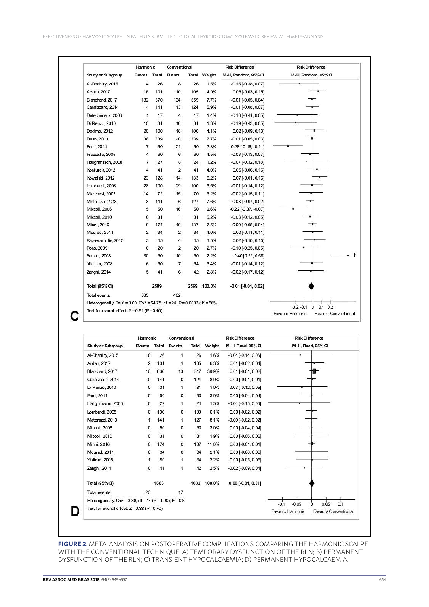|                                                                                                              | Harmonic       |      | Conventional   |      |                     | <b>Risk Difference</b>       | <b>Risk Difference</b>                                                      |  |  |
|--------------------------------------------------------------------------------------------------------------|----------------|------|----------------|------|---------------------|------------------------------|-----------------------------------------------------------------------------|--|--|
| Study or Subgroup                                                                                            | Events Total   |      | Events         |      | <b>Total Weight</b> | M-H, Random, 95% CI          | M-H, Random, 95% C                                                          |  |  |
| Al-Dhahiry, 2015                                                                                             | 4              | 26   | 8              | 26   | 1.5%                | $-0.15$ [ $-0.38$ , $0.07$ ] |                                                                             |  |  |
| Arslan, 2017                                                                                                 | 16             | 101  | 10             | 105  | 4.9%                | $0.06$ [-0.03, 0.15]         |                                                                             |  |  |
| Blanchard, 2017                                                                                              | 132            | 670  | 134            | 659  | 7.7%                | $-0.01$ [ $-0.05, 0.04$ ]    |                                                                             |  |  |
| Cannizzaro, 2014                                                                                             | 14             | 141  | 13             | 124  | 5.9%                | $-0.01$ [ $-0.08, 0.07$ ]    |                                                                             |  |  |
| Defechereux, 2003                                                                                            | $\overline{1}$ | 17   | $\overline{4}$ | 17   | 1.4%                | $-0.18[-0.41, 0.05]$         |                                                                             |  |  |
| Di Rienzo, 2010                                                                                              | 10             | 31   | 16             | 31   | 1.3%                | $-0.19$ [ $-0.43, 0.05$ ]    |                                                                             |  |  |
| Docimo, 2012                                                                                                 | 20             | 100  | 18             | 100  | 4.1%                | $0.02$ [-0.09, 0.13]         |                                                                             |  |  |
| Duan, 2013                                                                                                   | 36             | 389  | 40             | 389  | 7.7%                | $-0.01$ [ $-0.05, 0.03$ ]    |                                                                             |  |  |
| Ferri, 2011                                                                                                  | 7              | 50   | 21             | 50   | 2.3%                | $-0.28$ [ $-0.45, -0.11$ ]   |                                                                             |  |  |
| Frazzetta, 2005                                                                                              | 4              | 60   | 6              | 60   | 4.5%                | $-0.03$ [ $-0.13$ , $0.07$ ] |                                                                             |  |  |
| Hallgrimsson, 2008                                                                                           | $\overline{7}$ | 27   | 8              | 24   | 1.2%                | $-0.07$ $[-0.32, 0.18]$      |                                                                             |  |  |
| Konturek, 2012                                                                                               | 4              | 41   | $\overline{2}$ | 41   | 4.0%                | $0.05$ [-0.06, 0.16]         |                                                                             |  |  |
| Kowalski, 2012                                                                                               | 23             | 128  | 14             | 133  | 5.2%                | $0.07[-0.01, 0.16]$          |                                                                             |  |  |
| Lombardi, 2008                                                                                               | 28             | 100  | 29             | 100  | 3.5%                | $-0.01$ [ $-0.14$ , $0.12$ ] |                                                                             |  |  |
| Marchesi, 2003                                                                                               | 14             | 72   | 15             | 70   | 3.2%                | $-0.02$ [ $-0.15$ , 0.11]    |                                                                             |  |  |
| Materazzi, 2013                                                                                              | 3              | 141  | 6              | 127  | 7.6%                | $-0.03$ [ $-0.07, 0.02$ ]    |                                                                             |  |  |
| Miccoli, 2006                                                                                                | 5              | 50   | 16             | 50   | 2.6%                | $-0.22$ [ $-0.37, -0.07$ ]   |                                                                             |  |  |
| Miccoli, 2010                                                                                                | 0              | 31   | $\mathbf{1}$   | 31   | 5.2%                | $-0.03$ [ $-0.12$ , 0.05]    |                                                                             |  |  |
| Minni, 2016                                                                                                  | $\mathbf{9}$   | 174  | 10             | 187  | 7.5%                | $-0.00$ [ $-0.05, 0.04$ ]    |                                                                             |  |  |
| Mourad, 2011                                                                                                 | $\overline{2}$ | 34   | $\overline{2}$ | 34   | 4.0%                | $0.00$ [-0.11, 0.11]         |                                                                             |  |  |
| Papavramidis, 2010                                                                                           | 5              | 45   | 4              | 45   | 3.5%                | $0.02$ [-0.10, 0.15]         |                                                                             |  |  |
| Pons, 2009                                                                                                   | O              | 20   | $\overline{2}$ | 20   | 2.7%                | $-0.10$ [ $-0.25, 0.05$ ]    |                                                                             |  |  |
| Sartori, 2008                                                                                                | 30             | 50   | 10             | 50   | 2.2%                | 0.40 [0.22, 0.58]            |                                                                             |  |  |
| Yildirim, 2008                                                                                               | 6              | 50   | $\overline{7}$ | 54   | 3.4%                | $-0.01$ [ $-0.14$ , $0.12$ ] |                                                                             |  |  |
| Zanghi, 2014                                                                                                 | 5              | 41   | 6              | 42   | 2.8%                | $-0.02$ [ $-0.17, 0.12$ ]    |                                                                             |  |  |
| Total (95% CI)                                                                                               |                | 2589 |                | 2569 | 100.0%              | $-0.01$ [ $-0.04$ , $0.02$ ] |                                                                             |  |  |
| Total events                                                                                                 | 385            |      | 402            |      |                     |                              |                                                                             |  |  |
| Heterogeneity: Tau <sup>2</sup> = 0.00; Chi <sup>2</sup> = 54.75, df = 24 (P = 0.0003); l <sup>2</sup> = 56% |                |      |                |      |                     |                              |                                                                             |  |  |
| Test for overall effect: $Z = 0.84$ (P = 0.40)                                                               |                |      |                |      |                     |                              | $0.1 \ 0.2$<br>$-0.2 -0.1$<br>0<br>Favours Harmonic<br>Favours Conventional |  |  |

|                                                                       | Harmonic       |       | Conventional |       |        | <b>Risk Difference</b>       | <b>Risk Difference</b>                                                            |
|-----------------------------------------------------------------------|----------------|-------|--------------|-------|--------|------------------------------|-----------------------------------------------------------------------------------|
| Study or Subgroup                                                     | Events         | Total | Events       | Total | Weight | M-H, Fixed, 95% Q            | M-H, Fixed, 95% Q                                                                 |
| Al-Dhahiry, 2015                                                      | 0              | 26    | $\mathbf{1}$ | 26    | 1.6%   | $-0.04$ [ $-0.14$ , 0.06]    |                                                                                   |
| Arslan, 2017                                                          | $\overline{2}$ | 101   | 1            | 105   | 6.3%   | $0.01$ [-0.02, 0.04]         |                                                                                   |
| Blanchard, 2017                                                       | 16             | 666   | 10           | 647   | 39.9%  | 0.01 [-0.01, 0.02]           |                                                                                   |
| Cannizzaro, 2014                                                      | 0              | 141   | 0            | 124   | 8.0%   | $0.00$ [-0.01, 0.01]         |                                                                                   |
| Di Renzo, 2010                                                        | $\mathbf 0$    | 31    | 4            | 31    | 1.9%   | $-0.03[-0.12, 0.05]$         |                                                                                   |
| Ferri, 2011                                                           | $\mathbf 0$    | 50    | 0            | 50    | 3.0%   | $0.00$ [-0.04, 0.04]         |                                                                                   |
| Hallgrimsson, 2008                                                    | 0              | 27    | 1            | 24    | 1.5%   | $-0.04[-0.15, 0.06]$         |                                                                                   |
| Lombardi, 2008                                                        | 0              | 100   | 0            | 100   | 6.1%   | $0.00$ [-0.02, 0.02]         |                                                                                   |
| Materazzi, 2013                                                       | $\mathbf{1}$   | 141   | 1            | 127   | 8.1%   | $-0.00$ [ $-0.02$ , $0.02$ ] |                                                                                   |
| Miccoli, 2006                                                         | 0              | 50    | 0            | 50    | 3.0%   | $0.00$ [-0.04, 0.04]         |                                                                                   |
| Miccoli, 2010                                                         | 0              | 31    | 0            | 31    | 1.9%   | $0.00$ [-0.06, 0.06]         |                                                                                   |
| Minni, 2016                                                           | 0              | 174   | 0            | 187   | 11.0%  | $0.00$ [-0.01, 0.01]         |                                                                                   |
| Mourad, 2011                                                          | 0              | 34    | 0            | 34    | 2.1%   | $0.00$ [-0.06, 0.06]         |                                                                                   |
| Yildirim, 2008                                                        | $\mathbf{1}$   | 50    | 1            | 54    | 3.2%   | $0.00$ [-0.05, 0.05]         |                                                                                   |
| Zanghi, 2014                                                          | 0              | 41    | 1            | 42    | 2.5%   | $-0.02$ [ $-0.09, 0.04$ ]    |                                                                                   |
| Total (95% Q)                                                         |                | 1663  |              | 1632  | 100.0% | $0.00$ [-0.01, 0.01]         |                                                                                   |
| Total events                                                          | 20             |       | 17           |       |        |                              |                                                                                   |
| Heterogeneity: Chi <sup>2</sup> = 3.80, df = 14 (P= 1.00); $1^2$ = 0% |                |       |              |       |        |                              |                                                                                   |
| Test for overall effect: $Z = 0.38$ (P=0.70)                          |                |       |              |       |        |                              | 0.1<br>$-0.05$<br>0.05<br>$-0.1$<br>Û<br>Favours Harmonic<br>Favours Conventional |

**FIGURE 2.** META-ANALYSIS ON POSTOPERATIVE COMPLICATIONS COMPARING THE HARMONIC SCALPEL WITH THE CONVENTIONAL TECHNIQUE. A) TEMPORARY DYSFUNCTION OF THE RLN; B) PERMANENT DYSFUNCTION OF THE RLN; C) TRANSIENT HYPOCALCAEMIA; D) PERMANENT HYPOCALCAEMIA.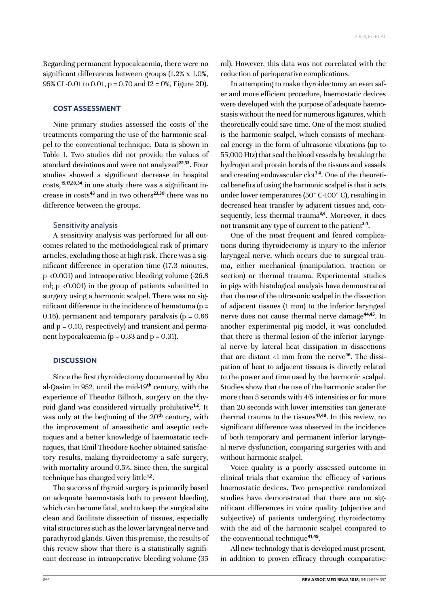Regarding permanent hypocalcaemia, there were no significant differences between groups (1.2% x 1.0%, 95% CI -0.01 to 0.01, p = 0.70 and I2 = 0%, Figure 2D).

## **COST ASSESSMENT**

Nine primary studies assessed the costs of the treatments comparing the use of the harmonic scalpel to the conventional technique. Data is shown in Table 1. Two studies did not provide the values of standard deviations and were not analyzed**22,33**. Four studies showed a significant decrease in hospital costs,**15,17,20,34** in one study there was a significant increase in costs**<sup>43</sup>** and in two others**23,30** there was no difference between the groups.

## Sensitivity analysis

A sensitivity analysis was performed for all outcomes related to the methodological risk of primary articles, excluding those at high risk. There was a significant difference in operation time (17.3 minutes, p <0.001) and intraoperative bleeding volume (-26.8 ml; p <0.001) in the group of patients submitted to surgery using a harmonic scalpel. There was no significant difference in the incidence of hematoma ( $p =$ 0.16), permanent and temporary paralysis ( $p = 0.66$ and  $p = 0.10$ , respectively) and transient and permanent hypocalcaemia ( $p = 0.33$  and  $p = 0.31$ ).

#### **DISCUSSION**

Since the first thyroidectomy documented by Abu al-Qasim in 952, until the mid-19**th** century, with the experience of Theodor Billroth, surgery on the thyroid gland was considered virtually prohibitive**1,2**. It was only at the beginning of the 20**th** century, with the improvement of anaesthetic and aseptic techniques and a better knowledge of haemostatic techniques, that Emil Theodore Kocher obtained satisfactory results, making thyroidectomy a safe surgery, with mortality around 0.5%. Since then, the surgical technique has changed very little**1,2**.

The success of thyroid surgery is primarily based on adequate haemostasis both to prevent bleeding, which can become fatal, and to keep the surgical site clean and facilitate dissection of tissues, especially vital structures such as the lower laryngeal nerve and parathyroid glands. Given this premise, the results of this review show that there is a statistically significant decrease in intraoperative bleeding volume (35 ml). However, this data was not correlated with the reduction of perioperative complications.

In attempting to make thyroidectomy an even safer and more efficient procedure, haemostatic devices were developed with the purpose of adequate haemostasis without the need for numerous ligatures, which theoretically could save time. One of the most studied is the harmonic scalpel, which consists of mechanical energy in the form of ultrasonic vibrations (up to 55,000 Htz) that seal the blood vessels by breaking the hydrogen and protein bonds of the tissues and vessels and creating endovascular clot**3,4**. One of the theoretical benefits of using the harmonic scalpel is that it acts under lower temperatures (50° C-100° C), resulting in decreased heat transfer by adjacent tissues and, consequently, less thermal trauma**3,4**. Moreover, it does not transmit any type of current to the patient**3,4**.

One of the most frequent and feared complications during thyroidectomy is injury to the inferior laryngeal nerve, which occurs due to surgical trauma, either mechanical (manipulation, traction or section) or thermal trauma. Experimental studies in pigs with histological analysis have demonstrated that the use of the ultrasonic scalpel in the dissection of adjacent tissues (1 mm) to the inferior laryngeal nerve does not cause thermal nerve damage**44,45**. In another experimental pig model, it was concluded that there is thermal lesion of the inferior laryngeal nerve by lateral heat dissipation in dissections that are distant <1 mm from the nerve**46**. The dissipation of heat to adjacent tissues is directly related to the power and time used by the harmonic scalpel. Studies show that the use of the harmonic scaler for more than 5 seconds with 4/5 intensities or for more than 20 seconds with lower intensities can generate thermal trauma to the tissues**47,48**. In this review, no significant difference was observed in the incidence of both temporary and permanent inferior laryngeal nerve dysfunction, comparing surgeries with and without harmonic scalpel.

Voice quality is a poorly assessed outcome in clinical trials that examine the efficacy of various haemostatic devices. Two prospective randomized studies have demonstrated that there are no significant differences in voice quality (objective and subjective) of patients undergoing thyroidectomy with the aid of the harmonic scalpel compared to the conventional technique**41,49**.

All new technology that is developed must present, in addition to proven efficacy through comparative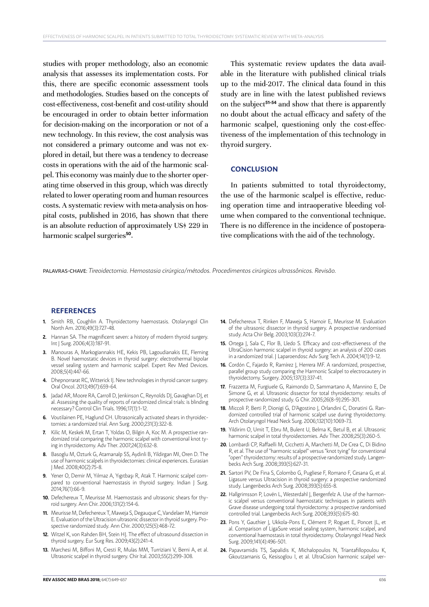studies with proper methodology, also an economic analysis that assesses its implementation costs. For this, there are specific economic assessment tools and methodologies. Studies based on the concepts of cost-effectiveness, cost-benefit and cost-utility should be encouraged in order to obtain better information for decision-making on the incorporation or not of a new technology. In this review, the cost analysis was not considered a primary outcome and was not explored in detail, but there was a tendency to decrease costs in operations with the aid of the harmonic scalpel. This economy was mainly due to the shorter operating time observed in this group, which was directly related to lower operating room and human resources costs. A systematic review with meta-analysis on hospital costs, published in 2016, has shown that there is an absolute reduction of approximately US\$ 229 in harmonic scalpel surgeries**<sup>50</sup>**.

This systematic review updates the data available in the literature with published clinical trials up to the mid-2017. The clinical data found in this study are in line with the latest published reviews on the subject**51-54** and show that there is apparently no doubt about the actual efficacy and safety of the harmonic scalpel, questioning only the cost-effectiveness of the implementation of this technology in thyroid surgery.

## **CONCLUSION**

In patients submitted to total thyroidectomy, the use of the harmonic scalpel is effective, reducing operation time and intraoperative bleeding volume when compared to the conventional technique. There is no difference in the incidence of postoperative complications with the aid of the technology.

PALAVRAS-CHAVE: *Tireoidectomia. Hemostasia cirúrgica/métodos. Procedimentos cirúrgicos ultrassônicos. Revisão.*

#### **REFERENCES**

- **1.** Smith RB, Coughlin A. Thyroidectomy haemostasis. Otolaryngol Clin North Am. 2016;49(3):727-48.
- **2.** Hannan SA. The magnificent seven: a history of modern thyroid surgery. Int J Surg. 2006;4(3):187-91.
- **3.** Manouras A, Markogiannakis HE, Kekis PB, Lagoudianakis EE, Fleming B. Novel haemostatic devices in thyroid surgery: electrothermal bipolar vessel sealing system and harmonic scalpel. Expert Rev Med Devices. 2008;5(4):447-66.
- **4.** Dhepnorrarat RC, Witterick IJ. New technologies in thyroid cancer surgery. Oral Oncol. 2013;49(7):659-64.
- **5.** Jadad AR, Moore RA, Carroll D, Jenkinson C, Reynolds DJ, Gavaghan DJ, et al. Assessing the quality of reports of randomized clinical trials: is blinding necessary? Control Clin Trials. 1996;17(1):1-12.
- **6.** Voutilainen PE, Haglund CH. Ultrasonically activated shears in thyroidectomies: a randomized trial. Ann Surg. 2000;231(3):322-8.
- **7.** Kilic M, Keskek M, Ertan T, Yoldas O, Bilgin A, Koc M. A prospective randomized trial comparing the harmonic scalpel with conventional knot tying in thyroidectomy. Adv Ther. 2007;24(3):632-8.
- **8.** Basoglu M, Ozturk G, Atamanalp SS, Aydinli B, Yildirgan MI, Oren D. The use of harmonic scalpels in thyroidectomies: clinical experiences. Eurasian J Med. 2008;40(2):75-8.
- **9.** Yener O, Demir M, Yılmaz A, Yıgıtbaşı R, Atak T. Harmonic scalpel compared to conventional haemostasis in thyroid surgery. Indian J Surg. 2014;76(1):66-9.
- **10.** Defechereux T, Meurisse M. Haemostasis and ultrasonic shears for thyroid surgery. Ann Chir. 2006;131(2):154-6.
- **11.** Meurisse M, Defechereux T, Maweja S, Degauque C, Vandelaer M, Hamoir E. Evaluation of the Ultracision ultrasonic dissector in thyroid surgery. Prospective randomized study. Ann Chir. 2000;125(5):468-72.
- **12.** Witzel K, von Rahden BH, Stein HJ. The effect of ultrasound dissection in thyroid surgery. Eur Surg Res. 2009;43(2):241-4.
- **13.** Marchesi M, Biffoni M, Cresti R, Mulas MM, Turriziani V, Berni A, et al. Ultrasonic scalpel in thyroid surgery. Chir Ital. 2003;55(2):299-308.
- **14.** Defechereux T, Rinken F, Maweja S, Hamoir E, Meurisse M. Evaluation of the ultrasonic dissector in thyroid surgery. A prospective randomised study. Acta Chir Belg. 2003;103(3):274-7.
- **15.** Ortega J, Sala C, Flor B, Lledo S. Efficacy and cost-effectiveness of the UltraCision harmonic scalpel in thyroid surgery: an analysis of 200 cases in a randomized trial. J Laparoendosc Adv Surg Tech A. 2004;14(1):9-12.
- **16.** Cordón C, Fajardo R, Ramírez J, Herrera MF. A randomized, prospective, parallel group study comparing the Harmonic Scalpel to electrocautery in thyroidectomy. Surgery. 2005;137(3):337-41.
- **17.** Frazzetta M, Furgiuele G, Raimondo D, Sammartano A, Mannino E, De Simone G, et al. Ultrasonic dissector for total thyroidectomy: results of prospective randomized study. G Chir. 2005;26(8-9):295-301.
- **18.** Miccoli P, Berti P, Dionigi G, D'Agostino J, Orlandini C, Donatini G. Randomized controlled trial of harmonic scalpel use during thyroidectomy. Arch Otolaryngol Head Neck Surg. 2006;132(10):1069-73.
- **19.** Yildirim O, Umit T, Ebru M, Bulent U, Belma K, Betul B, et al. Ultrasonic harmonic scalpel in total thyroidectomies. Adv Ther. 2008;25(3):260-5.
- **20.** Lombardi CP, Raffaelli M, Cicchetti A, Marchetti M, De Crea C, Di Bidino R, et al. The use of "harmonic scalpel" versus "knot tying" for conventional "open" thyroidectomy: results of a prospective randomized study. Langenbecks Arch Surg. 2008;393(5):627-31.
- **21.** Sartori PV, De Fina S, Colombo G, Pugliese F, Romano F, Cesana G, et al. Ligasure versus Ultracision in thyroid surgery: a prospective randomized study. Langenbecks Arch Surg. 2008;393(5):655-8.
- **22.** Hallgrimsson P, Lovén L, Westerdahl J, Bergenfelz A. Use of the harmonic scalpel versus conventional haemostatic techniques in patients with Grave disease undergoing total thyroidectomy: a prospective randomised controlled trial. Langenbecks Arch Surg. 2008;393(5):675-80.
- 23. Pons Y, Gauthier J, Ukkola-Pons E, Clément P, Roguet E, Poncet JL, et al. Comparison of LigaSure vessel sealing system, harmonic scalpel, and conventional haemostasis in total thyroidectomy. Otolaryngol Head Neck Surg. 2009;141(4):496-501.
- **24.** Papavramidis TS, Sapalidis K, Michalopoulos N, Triantafillopoulou K, Gkoutzamanis G, Kesisoglou I, et al. UltraCision harmonic scalpel ver-